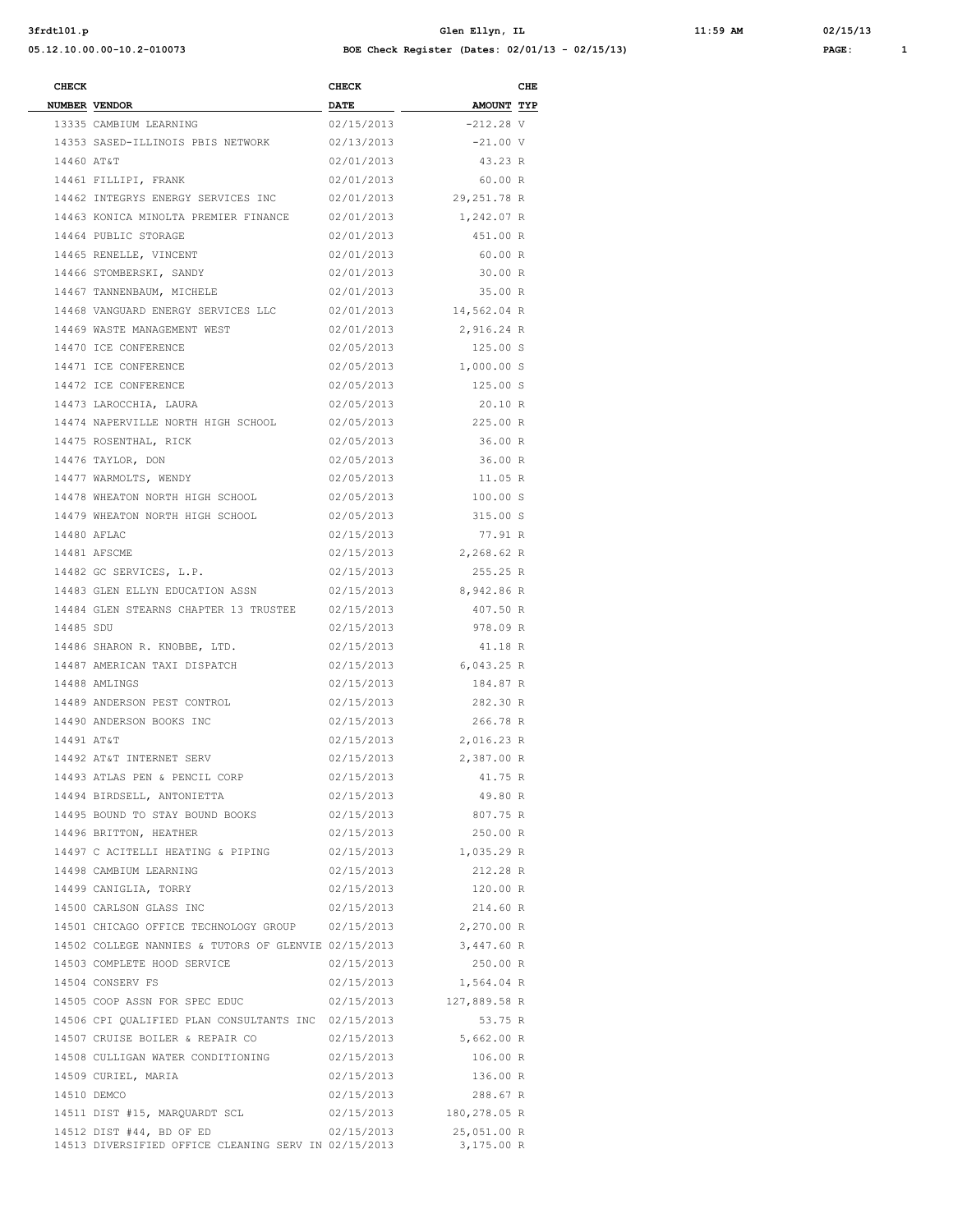| 3frdt101.p |  |
|------------|--|
|------------|--|

**05.12.10.00.00-10.2-010073 BOE Check Register (Dates: 02/01/13 - 02/15/13) PAGE: 1**

**3frdtl01.p Glen Ellyn, IL 11:59 AM 02/15/13**

| <b>CHECK</b> |                                                                 | <b>CHECK</b> |                         | CHE |
|--------------|-----------------------------------------------------------------|--------------|-------------------------|-----|
|              | NUMBER VENDOR                                                   | <b>DATE</b>  | AMOUNT TYP              |     |
|              | 13335 CAMBIUM LEARNING                                          | 02/15/2013   | $-212.28V$              |     |
|              | 14353 SASED-ILLINOIS PBIS NETWORK 02/13/2013                    |              | $-21.00 V$              |     |
|              | 14460 AT&T                                                      | 02/01/2013   | 43.23 R                 |     |
|              | 14461 FILLIPI, FRANK                                            |              | 02/01/2013 60.00 R      |     |
|              | 14462 INTEGRYS ENERGY SERVICES INC 02/01/2013 29,251.78 R       |              |                         |     |
|              | 14463 KONICA MINOLTA PREMIER FINANCE 02/01/2013 1,242.07 R      |              |                         |     |
|              | 14464 PUBLIC STORAGE                                            | 02/01/2013   | 451.00 R                |     |
|              | 14465 RENELLE, VINCENT                                          | 02/01/2013   | 60.00 R                 |     |
|              | 14466 STOMBERSKI, SANDY                                         | 02/01/2013   | 30.00 R                 |     |
|              | 14467 TANNENBAUM, MICHELE                                       |              | 02/01/2013 35.00 R      |     |
|              | 14468 VANGUARD ENERGY SERVICES LLC 02/01/2013 14,562.04 R       |              |                         |     |
|              | 14469 WASTE MANAGEMENT WEST                                     |              | 02/01/2013 2,916.24 R   |     |
|              | 14470 ICE CONFERENCE                                            | 02/05/2013   | 125.00 S                |     |
|              | 14471 ICE CONFERENCE                                            |              | 02/05/2013 1,000.00 S   |     |
|              | 14472 ICE CONFERENCE                                            |              | 02/05/2013 125.00 S     |     |
|              | 14473 LAROCCHIA, LAURA                                          | 02/05/2013   | 20.10 R                 |     |
|              | 14474 NAPERVILLE NORTH HIGH SCHOOL 02/05/2013 225.00 R          |              |                         |     |
|              | 14475 ROSENTHAL, RICK                                           | 02/05/2013   | 36.00 R                 |     |
|              | 14476 TAYLOR, DON                                               | 02/05/2013   | 36.00 R                 |     |
|              | 14477 WARMOLTS, WENDY                                           | 02/05/2013   | 11.05 R                 |     |
|              | 14478 WHEATON NORTH HIGH SCHOOL                                 |              | 02/05/2013 100.00 S     |     |
|              | 14479 WHEATON NORTH HIGH SCHOOL                                 | 02/05/2013   | 315.00 S                |     |
|              | 14480 AFLAC                                                     | 02/15/2013   | 77.91 R                 |     |
|              | 14481 AFSCME                                                    |              | 02/15/2013 2,268.62 R   |     |
|              |                                                                 |              |                         |     |
|              | 14482 GC SERVICES, L.P.                                         | 02/15/2013   | 255.25 R                |     |
|              | 14483 GLEN ELLYN EDUCATION ASSN                                 |              | 02/15/2013 8,942.86 R   |     |
|              | 14484 GLEN STEARNS CHAPTER 13 TRUSTEE 02/15/2013                |              | 407.50 R                |     |
| 14485 SDU    |                                                                 | 02/15/2013   | 978.09 R                |     |
|              | 14486 SHARON R. KNOBBE, LTD.                                    | 02/15/2013   | 41.18 R                 |     |
|              | 14487 AMERICAN TAXI DISPATCH                                    |              | 02/15/2013 6,043.25 R   |     |
|              | 14488 AMLINGS                                                   | 02/15/2013   | 184.87 R                |     |
|              | 14489 ANDERSON PEST CONTROL                                     | 02/15/2013   | 282.30 R                |     |
|              | 14490 ANDERSON BOOKS INC                                        | 02/15/2013   | 266.78 R                |     |
| 14491 AT&T   |                                                                 |              | 02/15/2013 2,016.23 R   |     |
|              | 14492 AT&T INTERNET SERV                                        | 02/15/2013   | 2,387.00 R              |     |
|              | 14493 ATLAS PEN & PENCIL CORP                                   | 02/15/2013   | 41.75 R                 |     |
|              | 14494 BIRDSELL, ANTONIETTA                                      | 02/15/2013   | 49.80 R                 |     |
|              | 14495 BOUND TO STAY BOUND BOOKS                                 | 02/15/2013   | 807.75 R                |     |
|              | 14496 BRITTON, HEATHER                                          | 02/15/2013   | 250.00 R                |     |
|              | 14497 C ACITELLI HEATING & PIPING                               |              | 02/15/2013 1,035.29 R   |     |
|              | 14498 CAMBIUM LEARNING                                          | 02/15/2013   | 212.28 R                |     |
|              | 14499 CANIGLIA, TORRY                                           | 02/15/2013   | 120.00 R                |     |
|              | 14500 CARLSON GLASS INC                                         | 02/15/2013   | 214.60 R                |     |
|              | 14501 CHICAGO OFFICE TECHNOLOGY GROUP 02/15/2013 2,270.00 R     |              |                         |     |
|              | 14502 COLLEGE NANNIES & TUTORS OF GLENVIE 02/15/2013 3,447.60 R |              |                         |     |
|              | 14503 COMPLETE HOOD SERVICE                                     | 02/15/2013   | 250.00 R                |     |
|              | 14504 CONSERV FS                                                | 02/15/2013   | 1,564.04 R              |     |
|              | 14505 COOP ASSN FOR SPEC EDUC                                   |              | 02/15/2013 127,889.58 R |     |
|              | 14506 CPI QUALIFIED PLAN CONSULTANTS INC 02/15/2013             |              | 53.75 R                 |     |
|              | 14507 CRUISE BOILER & REPAIR CO                                 |              | 02/15/2013 5,662.00 R   |     |
|              | 14508 CULLIGAN WATER CONDITIONING                               | 02/15/2013   | 106.00 R                |     |
|              | 14509 CURIEL, MARIA                                             | 02/15/2013   | 136.00 R                |     |
|              | 14510 DEMCO                                                     | 02/15/2013   | 288.67 R                |     |
|              | 14511 DIST #15, MARQUARDT SCL                                   |              | 02/15/2013 180,278.05 R |     |
|              | 14512 DIST #44, BD OF ED                                        | 02/15/2013   | 25,051.00 R             |     |
|              | 14513 DIVERSIFIED OFFICE CLEANING SERV IN 02/15/2013            |              | 3,175.00 R              |     |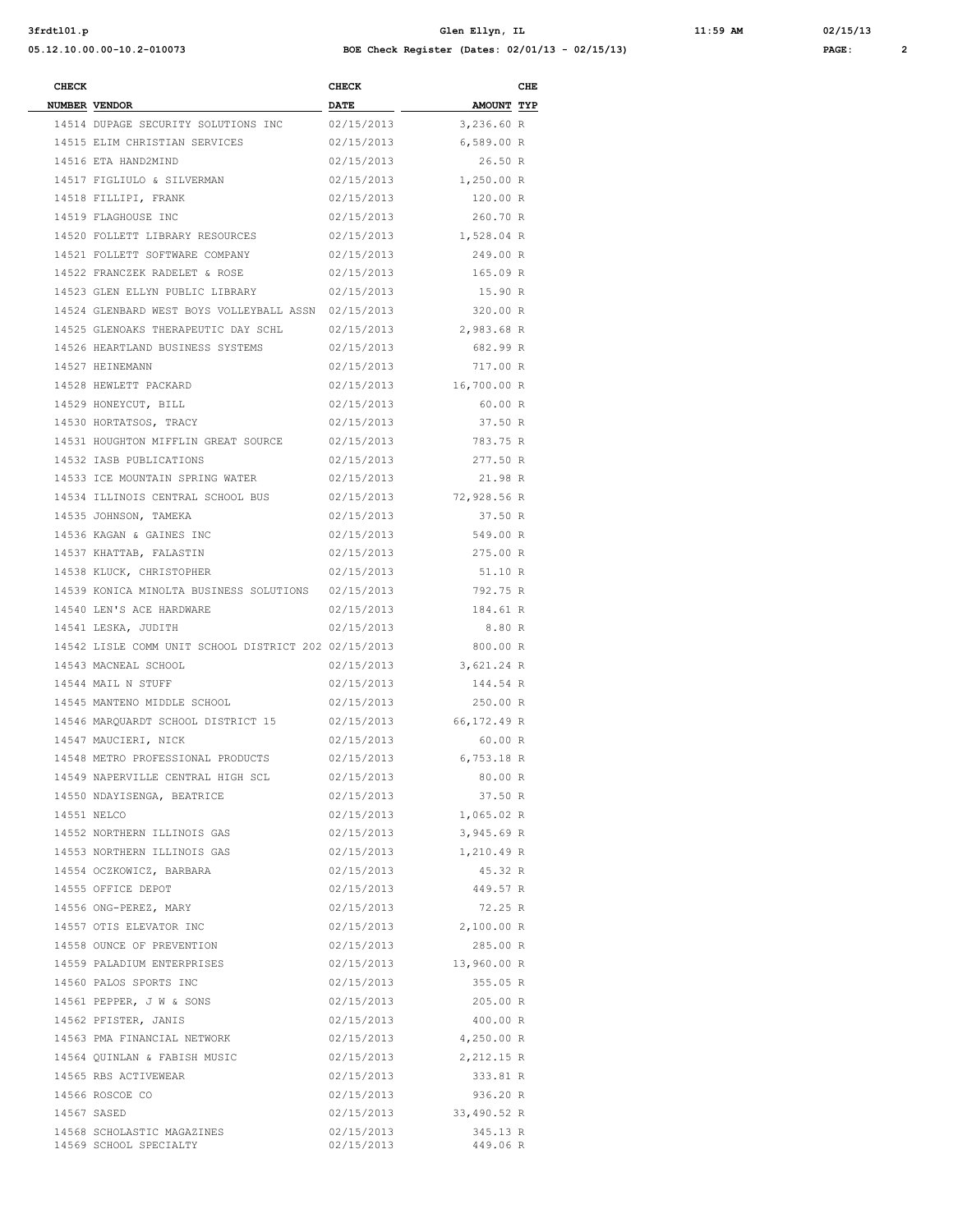**3frdtl01.p Glen Ellyn, IL 11:59 AM 02/15/13 05.12.10.00.00-10.2-010073 BOE Check Register (Dates: 02/01/13 - 02/15/13) PAGE: 2**

| .GE : |  |  |  |  |  |
|-------|--|--|--|--|--|
|-------|--|--|--|--|--|

| <b>CHECK</b> |                                                      | <b>CHECK</b>              |                                 | CHE |
|--------------|------------------------------------------------------|---------------------------|---------------------------------|-----|
|              | NUMBER VENDOR<br>14514 DUPAGE SECURITY SOLUTIONS INC | <b>DATE</b><br>02/15/2013 | <b>AMOUNT TYP</b><br>3,236.60 R |     |
|              | 14515 ELIM CHRISTIAN SERVICES                        | 02/15/2013                | 6,589.00 R                      |     |
|              | 14516 ETA HAND2MIND                                  | 02/15/2013                | 26.50 R                         |     |
|              | 14517 FIGLIULO & SILVERMAN                           | 02/15/2013                | 1,250.00 R                      |     |
|              | 14518 FILLIPI, FRANK                                 | 02/15/2013                | 120.00 R                        |     |
|              | 14519 FLAGHOUSE INC                                  | 02/15/2013                | 260.70 R                        |     |
|              | 14520 FOLLETT LIBRARY RESOURCES                      | 02/15/2013                | 1,528.04 R                      |     |
|              | 14521 FOLLETT SOFTWARE COMPANY                       | 02/15/2013                | 249.00 R                        |     |
|              | 14522 FRANCZEK RADELET & ROSE                        | 02/15/2013                | 165.09 R                        |     |
|              | 14523 GLEN ELLYN PUBLIC LIBRARY                      | 02/15/2013                | 15.90 R                         |     |
|              | 14524 GLENBARD WEST BOYS VOLLEYBALL ASSN 02/15/2013  |                           | 320.00 R                        |     |
|              | 14525 GLENOAKS THERAPEUTIC DAY SCHL                  | 02/15/2013                | 2,983.68 R                      |     |
|              | 14526 HEARTLAND BUSINESS SYSTEMS                     | 02/15/2013                | 682.99 R                        |     |
|              | 14527 HEINEMANN                                      | 02/15/2013                | 717.00 R                        |     |
|              | 14528 HEWLETT PACKARD                                | 02/15/2013                | 16,700.00 R                     |     |
|              | 14529 HONEYCUT, BILL                                 | 02/15/2013                | 60.00 R                         |     |
|              | 14530 HORTATSOS, TRACY                               | 02/15/2013                | 37.50 R                         |     |
|              | 14531 HOUGHTON MIFFLIN GREAT SOURCE                  | 02/15/2013                | 783.75 R                        |     |
|              | 14532 IASB PUBLICATIONS                              | 02/15/2013                | 277.50 R                        |     |
|              | 14533 ICE MOUNTAIN SPRING WATER                      | 02/15/2013                | 21.98 R                         |     |
|              | 14534 ILLINOIS CENTRAL SCHOOL BUS                    | 02/15/2013                | 72,928.56 R                     |     |
|              | 14535 JOHNSON, TAMEKA                                | 02/15/2013                | 37.50 R                         |     |
|              | 14536 KAGAN & GAINES INC                             | 02/15/2013                | 549.00 R                        |     |
|              | 14537 KHATTAB, FALASTIN                              | 02/15/2013                | 275.00 R                        |     |
|              | 14538 KLUCK, CHRISTOPHER                             | 02/15/2013                | 51.10 R                         |     |
|              | 14539 KONICA MINOLTA BUSINESS SOLUTIONS              | 02/15/2013                | 792.75 R                        |     |
|              | 14540 LEN'S ACE HARDWARE                             | 02/15/2013                | 184.61 R                        |     |
|              | 14541 LESKA, JUDITH                                  | 02/15/2013                | 8.80 R                          |     |
|              | 14542 LISLE COMM UNIT SCHOOL DISTRICT 202 02/15/2013 |                           | 800.00 R                        |     |
|              | 14543 MACNEAL SCHOOL                                 | 02/15/2013                | 3,621.24 R                      |     |
|              | 14544 MAIL N STUFF                                   | 02/15/2013                | 144.54 R                        |     |
|              | 14545 MANTENO MIDDLE SCHOOL                          | 02/15/2013                | 250.00 R                        |     |
|              | 14546 MARQUARDT SCHOOL DISTRICT 15                   | 02/15/2013                | 66,172.49 R                     |     |
|              | 14547 MAUCIERI, NICK                                 | 02/15/2013                | 60.00 R                         |     |
|              | 14548 METRO PROFESSIONAL PRODUCTS                    | 02/15/2013                | $6,753.18$ R                    |     |
|              | 14549 NAPERVILLE CENTRAL HIGH SCL                    | 02/15/2013                | 80.00 R                         |     |
|              | 14550 NDAYISENGA, BEATRICE                           | 02/15/2013                | 37.50 R                         |     |
|              | 14551 NELCO                                          | 02/15/2013                | 1,065.02 R                      |     |
|              | 14552 NORTHERN ILLINOIS GAS                          | 02/15/2013                | 3,945.69 R                      |     |
|              | 14553 NORTHERN ILLINOIS GAS                          | 02/15/2013                | 1,210.49 R                      |     |
|              | 14554 OCZKOWICZ, BARBARA                             | 02/15/2013                | 45.32 R                         |     |
|              | 14555 OFFICE DEPOT                                   | 02/15/2013                | 449.57 R                        |     |
|              | 14556 ONG-PEREZ, MARY                                | 02/15/2013                | 72.25 R                         |     |
|              | 14557 OTIS ELEVATOR INC                              | 02/15/2013                | 2,100.00 R                      |     |
|              | 14558 OUNCE OF PREVENTION                            | 02/15/2013                | 285.00 R                        |     |
|              | 14559 PALADIUM ENTERPRISES                           | 02/15/2013                | 13,960.00 R                     |     |
|              | 14560 PALOS SPORTS INC                               | 02/15/2013                | 355.05 R                        |     |
|              | 14561 PEPPER, J W & SONS                             | 02/15/2013                | 205.00 R                        |     |
|              | 14562 PFISTER, JANIS                                 | 02/15/2013                | 400.00 R                        |     |
|              | 14563 PMA FINANCIAL NETWORK                          | 02/15/2013                | 4,250.00 R                      |     |
|              | 14564 QUINLAN & FABISH MUSIC                         | 02/15/2013                | 2,212.15 R                      |     |
|              | 14565 RBS ACTIVEWEAR                                 | 02/15/2013                | 333.81 R                        |     |
|              | 14566 ROSCOE CO                                      | 02/15/2013                | 936.20 R                        |     |
|              | 14567 SASED                                          | 02/15/2013                | 33,490.52 R                     |     |
|              | 14568 SCHOLASTIC MAGAZINES                           | 02/15/2013                | 345.13 R                        |     |
|              | 14569 SCHOOL SPECIALTY                               | 02/15/2013                | 449.06 R                        |     |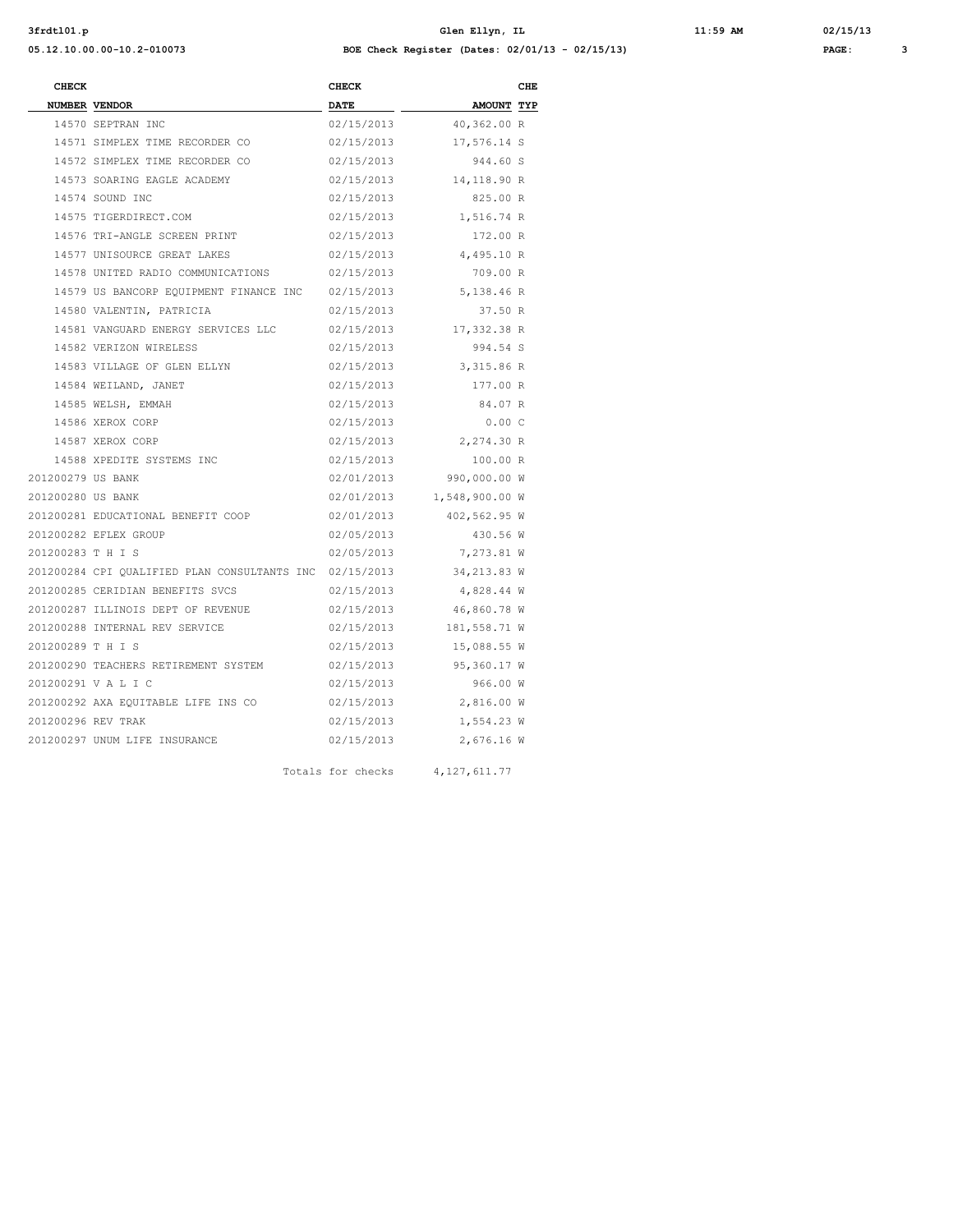**3frdtl01.p Glen Ellyn, IL 11:59 AM 02/15/13 05.12.10.00.00-10.2-010073 BOE Check Register (Dates: 02/01/13 - 02/15/13) PAGE: 3**

| :59 AM |  |
|--------|--|
|        |  |

| <b>CHECK</b>       |                                                              | <b>CHECK</b>      |                           | CHE |
|--------------------|--------------------------------------------------------------|-------------------|---------------------------|-----|
|                    | <b>NUMBER VENDOR</b>                                         | <b>DATE</b>       | AMOUNT TYP                |     |
|                    | 14570 SEPTRAN INC                                            | 02/15/2013        | 40,362.00 R               |     |
|                    | 14571 SIMPLEX TIME RECORDER CO                               | 02/15/2013        | 17,576.14 S               |     |
|                    | 14572 SIMPLEX TIME RECORDER CO                               | 02/15/2013        | 944.60 S                  |     |
|                    | 14573 SOARING EAGLE ACADEMY                                  |                   | 02/15/2013 14,118.90 R    |     |
|                    | 14574 SOUND INC                                              | 02/15/2013        | 825.00 R                  |     |
|                    | 14575 TIGERDIRECT.COM                                        | 02/15/2013        | 1,516.74 R                |     |
|                    | 14576 TRI-ANGLE SCREEN PRINT                                 | 02/15/2013        | 172.00 R                  |     |
|                    | 14577 UNISOURCE GREAT LAKES                                  |                   | 02/15/2013 4,495.10 R     |     |
|                    | 14578 UNITED RADIO COMMUNICATIONS 02/15/2013                 |                   | 709.00 R                  |     |
|                    | 14579 US BANCORP EQUIPMENT FINANCE INC 02/15/2013 5,138.46 R |                   |                           |     |
|                    | 14580 VALENTIN, PATRICIA                                     | 02/15/2013        | 37.50 R                   |     |
|                    | 14581 VANGUARD ENERGY SERVICES LLC 02/15/2013 17,332.38 R    |                   |                           |     |
|                    | 14582 VERIZON WIRELESS                                       | 02/15/2013        | 994.54 S                  |     |
|                    | 14583 VILLAGE OF GLEN ELLYN                                  |                   | 02/15/2013 3,315.86 R     |     |
|                    | 14584 WEILAND, JANET                                         | 02/15/2013        | 177.00 R                  |     |
|                    | 14585 WELSH, EMMAH                                           | 02/15/2013        | 84.07 R                   |     |
|                    | 14586 XEROX CORP                                             | 02/15/2013        | 0.00C                     |     |
|                    | 14587 XEROX CORP                                             | 02/15/2013        | 2,274.30 R                |     |
|                    | 14588 XPEDITE SYSTEMS INC                                    | 02/15/2013        | 100.00 R                  |     |
| 201200279 US BANK  |                                                              | 02/01/2013        | 990,000.00 W              |     |
| 201200280 US BANK  |                                                              |                   | 02/01/2013 1,548,900.00 W |     |
|                    | 201200281 EDUCATIONAL BENEFIT COOP                           | 02/01/2013        | 402,562.95 W              |     |
|                    | 201200282 EFLEX GROUP                                        | 02/05/2013        | 430.56 W                  |     |
| 201200283 T H I S  |                                                              | 02/05/2013        | 7,273.81 W                |     |
|                    | 201200284 CPI OUALIFIED PLAN CONSULTANTS INC 02/15/2013      |                   | 34,213.83 W               |     |
|                    | 201200285 CERIDIAN BENEFITS SVCS                             | 02/15/2013        | 4,828.44 W                |     |
|                    | 201200287 ILLINOIS DEPT OF REVENUE                           | 02/15/2013        | 46,860.78 W               |     |
|                    | 201200288 INTERNAL REV SERVICE                               | 02/15/2013        | 181,558.71 W              |     |
| 201200289 T H I S  |                                                              | 02/15/2013        | 15,088.55 W               |     |
|                    | 201200290 TEACHERS RETIREMENT SYSTEM                         | 02/15/2013        | 95,360.17 W               |     |
|                    | 201200291 V A L I C                                          | 02/15/2013        | 966.00 W                  |     |
|                    | 201200292 AXA EQUITABLE LIFE INS CO                          | 02/15/2013        | 2,816.00 W                |     |
| 201200296 REV TRAK |                                                              | 02/15/2013        | 1,554.23 W                |     |
|                    | 201200297 UNUM LIFE INSURANCE                                | 02/15/2013        | 2,676.16 W                |     |
|                    |                                                              | Totals for checks | 4, 127, 611.77            |     |